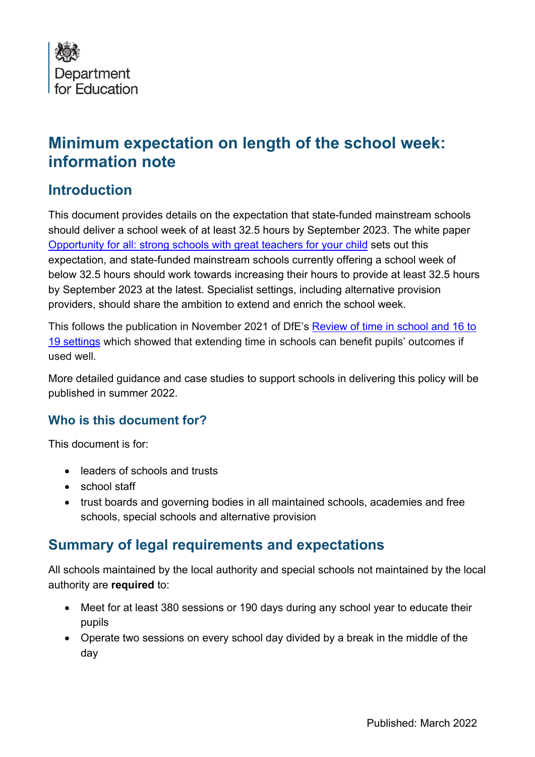

# **Minimum expectation on length of the school week: information note**

## **Introduction**

This document provides details on the expectation that state-funded mainstream schools should deliver a school week of at least 32.5 hours by September 2023. The white paper [Opportunity for all: strong schools with great teachers for your child](https://www.gov.uk/government/publications/opportunity-for-all-strong-schools-with-great-teachers-for-your-child) sets out this expectation, and state-funded mainstream schools currently offering a school week of below 32.5 hours should work towards increasing their hours to provide at least 32.5 hours by September 2023 at the latest. Specialist settings, including alternative provision providers, should share the ambition to extend and enrich the school week.

This follows the publication in November 2021 of DfE's [Review of time in school and 16 to](https://www.gov.uk/government/publications/review-of-time-in-school-and-16-to-19-settings)  [19 settings](https://www.gov.uk/government/publications/review-of-time-in-school-and-16-to-19-settings) which showed that extending time in schools can benefit pupils' outcomes if used well.

More detailed guidance and case studies to support schools in delivering this policy will be published in summer 2022.

#### **Who is this document for?**

This document is for:

- leaders of schools and trusts
- school staff
- trust boards and governing bodies in all maintained schools, academies and free schools, special schools and alternative provision

### **Summary of legal requirements and expectations**

All schools maintained by the local authority and special schools not maintained by the local authority are **required** to:

- Meet for at least 380 sessions or 190 days during any school year to educate their pupils
- Operate two sessions on every school day divided by a break in the middle of the day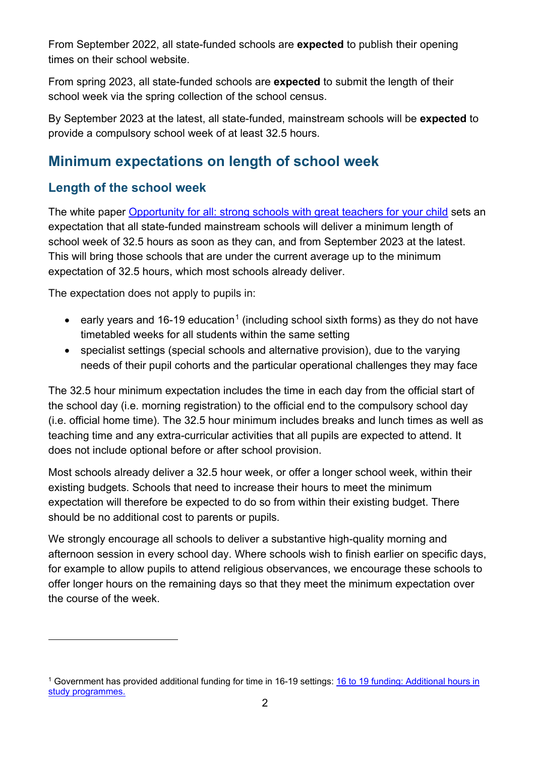From September 2022, all state-funded schools are **expected** to publish their opening times on their school website.

From spring 2023, all state-funded schools are **expected** to submit the length of their school week via the spring collection of the school census.

By September 2023 at the latest, all state-funded, mainstream schools will be **expected** to provide a compulsory school week of at least 32.5 hours.

## **Minimum expectations on length of school week**

### **Length of the school week**

The white paper [Opportunity for all: strong schools with great teachers for your child](https://www.gov.uk/government/publications/opportunity-for-all-strong-schools-with-great-teachers-for-your-child) sets an expectation that all state-funded mainstream schools will deliver a minimum length of school week of 32.5 hours as soon as they can, and from September 2023 at the latest. This will bring those schools that are under the current average up to the minimum expectation of 32.5 hours, which most schools already deliver.

The expectation does not apply to pupils in:

- early years and [1](#page-1-0)6-19 education<sup>1</sup> (including school sixth forms) as they do not have timetabled weeks for all students within the same setting
- specialist settings (special schools and alternative provision), due to the varying needs of their pupil cohorts and the particular operational challenges they may face

The 32.5 hour minimum expectation includes the time in each day from the official start of the school day (i.e. morning registration) to the official end to the compulsory school day (i.e. official home time). The 32.5 hour minimum includes breaks and lunch times as well as teaching time and any extra-curricular activities that all pupils are expected to attend. It does not include optional before or after school provision.

Most schools already deliver a 32.5 hour week, or offer a longer school week, within their existing budgets. Schools that need to increase their hours to meet the minimum expectation will therefore be expected to do so from within their existing budget. There should be no additional cost to parents or pupils.

We strongly encourage all schools to deliver a substantive high-quality morning and afternoon session in every school day. Where schools wish to finish earlier on specific days, for example to allow pupils to attend religious observances, we encourage these schools to offer longer hours on the remaining days so that they meet the minimum expectation over the course of the week.

<span id="page-1-0"></span><sup>&</sup>lt;sup>1</sup> Government has provided additional funding for time in 16-19 settings: 16 to 19 funding: Additional hours in [study programmes.](https://www.gov.uk/government/publications/16-to-19-funding-additional-hours-in-study-programmes/16-to-19-funding-additional-hours-in-study-programmes)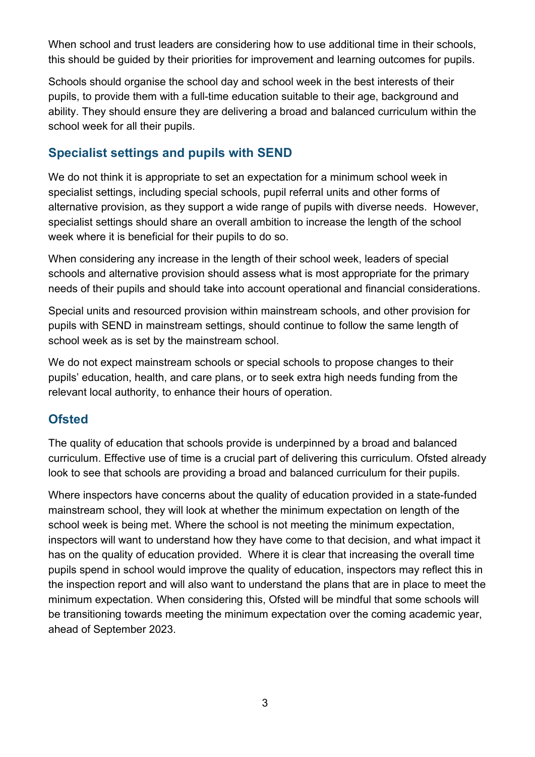When school and trust leaders are considering how to use additional time in their schools, this should be guided by their priorities for improvement and learning outcomes for pupils.

Schools should organise the school day and school week in the best interests of their pupils, to provide them with a full-time education suitable to their age, background and ability. They should ensure they are delivering a broad and balanced curriculum within the school week for all their pupils.

### **Specialist settings and pupils with SEND**

We do not think it is appropriate to set an expectation for a minimum school week in specialist settings, including special schools, pupil referral units and other forms of alternative provision, as they support a wide range of pupils with diverse needs. However, specialist settings should share an overall ambition to increase the length of the school week where it is beneficial for their pupils to do so.

When considering any increase in the length of their school week, leaders of special schools and alternative provision should assess what is most appropriate for the primary needs of their pupils and should take into account operational and financial considerations.

Special units and resourced provision within mainstream schools, and other provision for pupils with SEND in mainstream settings, should continue to follow the same length of school week as is set by the mainstream school.

We do not expect mainstream schools or special schools to propose changes to their pupils' education, health, and care plans, or to seek extra high needs funding from the relevant local authority, to enhance their hours of operation.

### **Ofsted**

The quality of education that schools provide is underpinned by a broad and balanced curriculum. Effective use of time is a crucial part of delivering this curriculum. Ofsted already look to see that schools are providing a broad and balanced curriculum for their pupils.

Where inspectors have concerns about the quality of education provided in a state-funded mainstream school, they will look at whether the minimum expectation on length of the school week is being met. Where the school is not meeting the minimum expectation, inspectors will want to understand how they have come to that decision, and what impact it has on the quality of education provided. Where it is clear that increasing the overall time pupils spend in school would improve the quality of education, inspectors may reflect this in the inspection report and will also want to understand the plans that are in place to meet the minimum expectation. When considering this, Ofsted will be mindful that some schools will be transitioning towards meeting the minimum expectation over the coming academic year, ahead of September 2023.